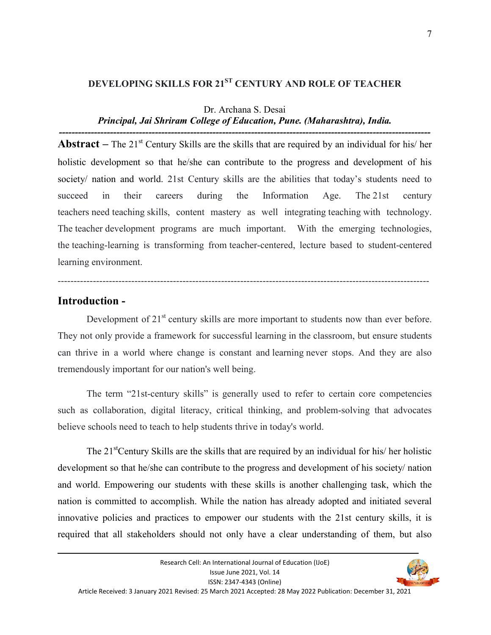# **DEVELOPING SKILLS FOR 21ST CENTURY AND ROLE OF TEACHER**

# Dr. Archana S. Desai

#### *Principal, Jai Shriram College of Education, Pune. (Maharashtra), India. --------------------------------------------------------------------------------------------------------------------*

**Abstract** – The 21<sup>st</sup> Century Skills are the skills that are required by an individual for his/ her holistic development so that he/she can contribute to the progress and development of his society/ nation and world. 21st Century skills are the abilities that today's students need to succeed in their careers during the Information Age. The 21st century teachers need teaching skills, content mastery as well integrating teaching with technology. The teacher development programs are much important. With the emerging technologies, the teaching-learning is transforming from teacher-centered, lecture based to student-centered learning environment.

### **Introduction -**

Development of  $21<sup>st</sup>$  century skills are more important to students now than ever before. They not only provide a framework for successful learning in the classroom, but ensure students can thrive in a world where change is constant and learning never stops. And they are also tremendously important for our nation's well being.

--------------------------------------------------------------------------------------------------------------------

 The term "21st-century skills" is generally used to refer to certain core competencies such as collaboration, digital literacy, critical thinking, and problem-solving that advocates believe schools need to teach to help students thrive in today's world.

The  $21<sup>st</sup>$ Century Skills are the skills that are required by an individual for his/ her holistic development so that he/she can contribute to the progress and development of his society/ nation and world. Empowering our students with these skills is another challenging task, which the nation is committed to accomplish. While the nation has already adopted and initiated several innovative policies and practices to empower our students with the 21st century skills, it is required that all stakeholders should not only have a clear understanding of them, but also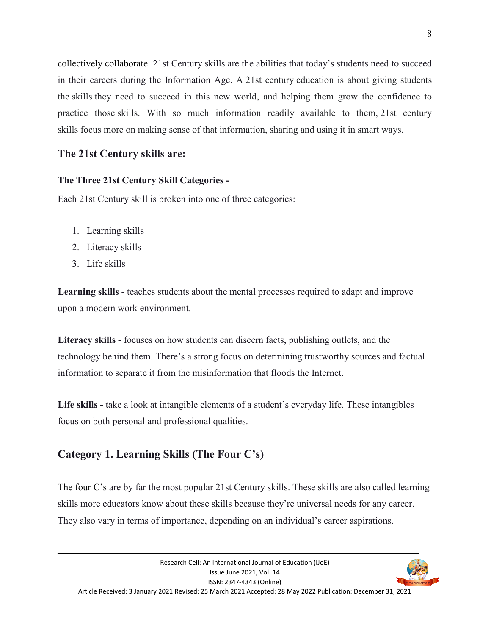collectively collaborate. 21st Century skills are the abilities that today's students need to succeed in their careers during the Information Age. A 21st century education is about giving students the skills they need to succeed in this new world, and helping them grow the confidence to practice those skills. With so much information readily available to them, 21st century skills focus more on making sense of that information, sharing and using it in smart ways.

### **The 21st Century skills are:**

### **The Three 21st Century Skill Categories -**

Each 21st Century skill is broken into one of three categories:

- 1. Learning skills
- 2. Literacy skills
- 3. Life skills

Learning skills - teaches students about the mental processes required to adapt and improve upon a modern work environment.

**Literacy skills -** focuses on how students can discern facts, publishing outlets, and the technology behind them. There's a strong focus on determining trustworthy sources and factual information to separate it from the misinformation that floods the Internet.

**Life skills -** take a look at intangible elements of a student's everyday life. These intangibles focus on both personal and professional qualities.

## **Category 1. Learning Skills (The Four C's)**

The four C's are by far the most popular 21st Century skills. These skills are also called learning skills more educators know about these skills because they're universal needs for any career. They also vary in terms of importance, depending on an individual's career aspirations.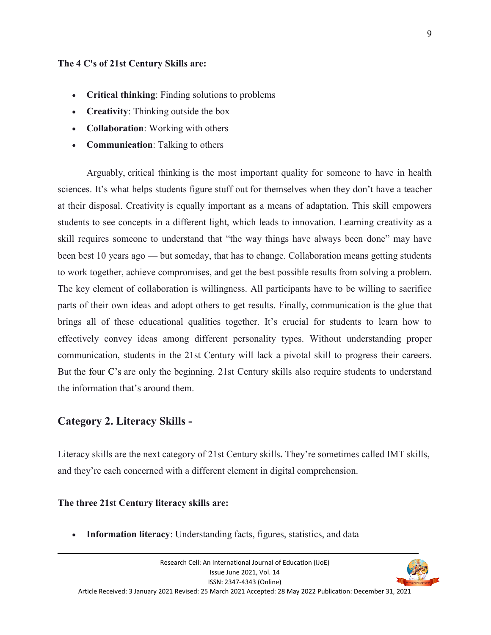#### **The 4 C's of 21st Century Skills are:**

- **Critical thinking**: Finding solutions to problems
- **Creativity:** Thinking outside the box
- **Collaboration**: Working with others
- **Communication**: Talking to others

 Arguably, critical thinking is the most important quality for someone to have in health sciences. It's what helps students figure stuff out for themselves when they don't have a teacher at their disposal. Creativity is equally important as a means of adaptation. This skill empowers students to see concepts in a different light, which leads to innovation. Learning creativity as a skill requires someone to understand that "the way things have always been done" may have been best 10 years ago — but someday, that has to change. Collaboration means getting students to work together, achieve compromises, and get the best possible results from solving a problem. The key element of collaboration is willingness. All participants have to be willing to sacrifice parts of their own ideas and adopt others to get results. Finally, communication is the glue that brings all of these educational qualities together. It's crucial for students to learn how to effectively convey ideas among different personality types. Without understanding proper communication, students in the 21st Century will lack a pivotal skill to progress their careers. But the four C's are only the beginning. 21st Century skills also require students to understand the information that's around them.

### **Category 2. Literacy Skills -**

Literacy skills are the next category of 21st Century skills**.** They're sometimes called IMT skills, and they're each concerned with a different element in digital comprehension.

### **The three 21st Century literacy skills are:**

**Information literacy**: Understanding facts, figures, statistics, and data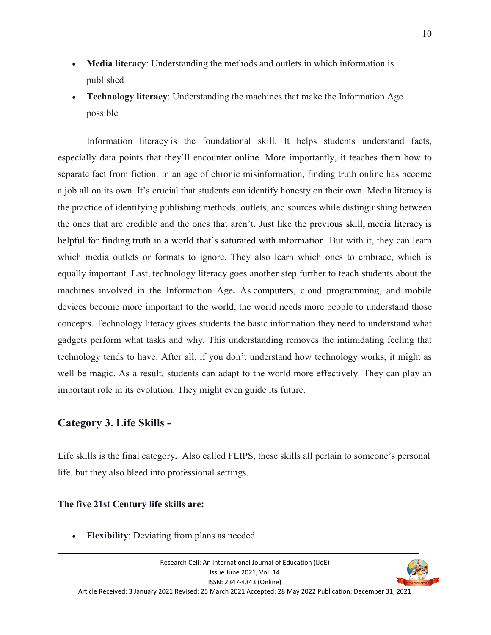- **Media literacy**: Understanding the methods and outlets in which information is published
- **Technology literacy**: Understanding the machines that make the Information Age possible

 Information literacy is the foundational skill. It helps students understand facts, especially data points that they'll encounter online. More importantly, it teaches them how to separate fact from fiction. In an age of chronic misinformation, finding truth online has become a job all on its own. It's crucial that students can identify honesty on their own. Media literacy is the practice of identifying publishing methods, outlets, and sources while distinguishing between the ones that are credible and the ones that aren't**.** Just like the previous skill, media literacy is helpful for finding truth in a world that's saturated with information. But with it, they can learn which media outlets or formats to ignore. They also learn which ones to embrace, which is equally important. Last, technology literacy goes another step further to teach students about the machines involved in the Information Age**.** As computers, cloud programming, and mobile devices become more important to the world, the world needs more people to understand those concepts. Technology literacy gives students the basic information they need to understand what gadgets perform what tasks and why. This understanding removes the intimidating feeling that technology tends to have. After all, if you don't understand how technology works, it might as well be magic. As a result, students can adapt to the world more effectively. They can play an important role in its evolution. They might even guide its future.

### **Category 3. Life Skills -**

Life skills is the final category**.** Also called FLIPS, these skills all pertain to someone's personal life, but they also bleed into professional settings.

#### **The five 21st Century life skills are:**

**Flexibility**: Deviating from plans as needed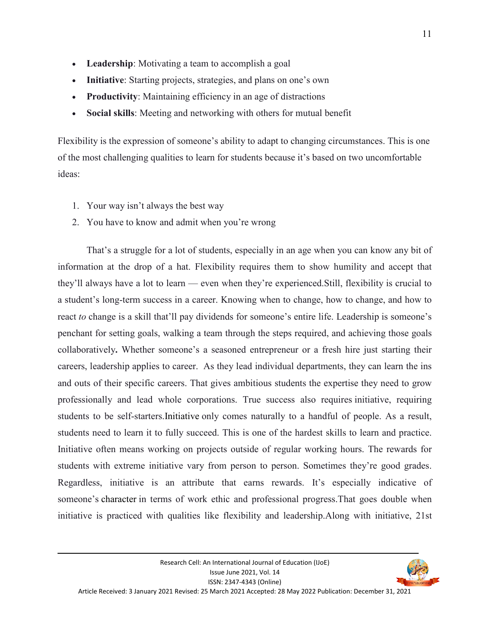- Leadership: Motivating a team to accomplish a goal
- **Initiative**: Starting projects, strategies, and plans on one's own
- **Productivity**: Maintaining efficiency in an age of distractions
- **Social skills**: Meeting and networking with others for mutual benefit

Flexibility is the expression of someone's ability to adapt to changing circumstances. This is one of the most challenging qualities to learn for students because it's based on two uncomfortable ideas:

- 1. Your way isn't always the best way
- 2. You have to know and admit when you're wrong

 That's a struggle for a lot of students, especially in an age when you can know any bit of information at the drop of a hat. Flexibility requires them to show humility and accept that they'll always have a lot to learn — even when they're experienced.Still, flexibility is crucial to a student's long-term success in a career. Knowing when to change, how to change, and how to react *to* change is a skill that'll pay dividends for someone's entire life. Leadership is someone's penchant for setting goals, walking a team through the steps required, and achieving those goals collaboratively**.** Whether someone's a seasoned entrepreneur or a fresh hire just starting their careers, leadership applies to career. As they lead individual departments, they can learn the ins and outs of their specific careers. That gives ambitious students the expertise they need to grow professionally and lead whole corporations. True success also requires initiative, requiring students to be self-starters.Initiative only comes naturally to a handful of people. As a result, students need to learn it to fully succeed. This is one of the hardest skills to learn and practice. Initiative often means working on projects outside of regular working hours. The rewards for students with extreme initiative vary from person to person. Sometimes they're good grades. Regardless, initiative is an attribute that earns rewards. It's especially indicative of someone's character in terms of work ethic and professional progress.That goes double when initiative is practiced with qualities like flexibility and leadership.Along with initiative, 21st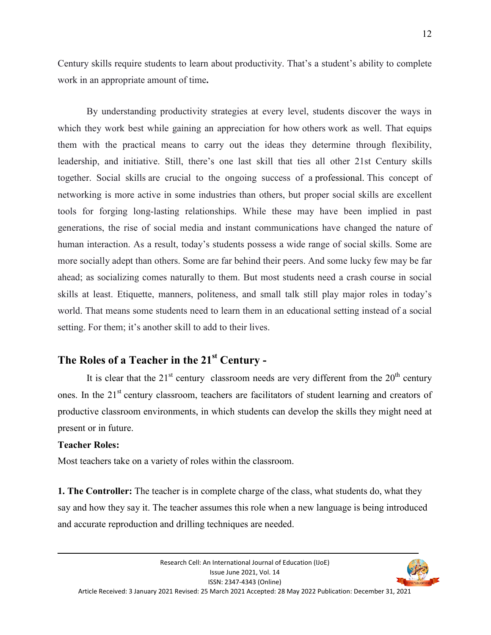Century skills require students to learn about productivity. That's a student's ability to complete work in an appropriate amount of time**.**

 By understanding productivity strategies at every level, students discover the ways in which they work best while gaining an appreciation for how others work as well. That equips them with the practical means to carry out the ideas they determine through flexibility, leadership, and initiative. Still, there's one last skill that ties all other 21st Century skills together. Social skills are crucial to the ongoing success of a professional. This concept of networking is more active in some industries than others, but proper social skills are excellent tools for forging long-lasting relationships. While these may have been implied in past generations, the rise of social media and instant communications have changed the nature of human interaction. As a result, today's students possess a wide range of social skills. Some are more socially adept than others. Some are far behind their peers. And some lucky few may be far ahead; as socializing comes naturally to them. But most students need a crash course in social skills at least. Etiquette, manners, politeness, and small talk still play major roles in today's world. That means some students need to learn them in an educational setting instead of a social setting. For them; it's another skill to add to their lives.

## **The Roles of a Teacher in the 21st Century -**

It is clear that the  $21<sup>st</sup>$  century classroom needs are very different from the  $20<sup>th</sup>$  century ones. In the 21<sup>st</sup> century classroom, teachers are facilitators of student learning and creators of productive classroom environments, in which students can develop the skills they might need at present or in future.

#### **Teacher Roles:**

Most teachers take on a variety of roles within the classroom.

**1. The Controller:** The teacher is in complete charge of the class, what students do, what they say and how they say it. The teacher assumes this role when a new language is being introduced and accurate reproduction and drilling techniques are needed.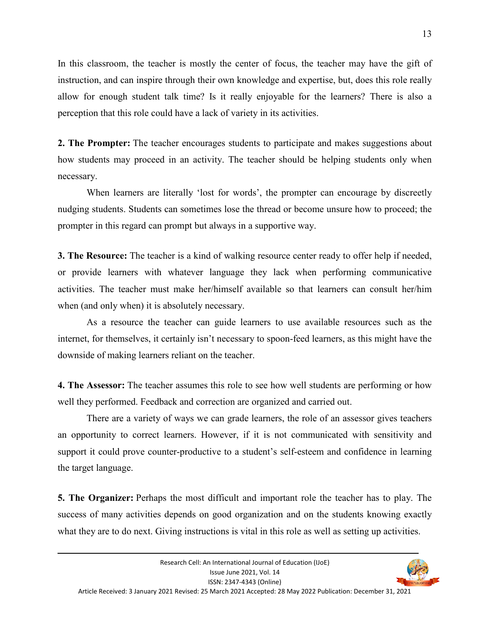In this classroom, the teacher is mostly the center of focus, the teacher may have the gift of instruction, and can inspire through their own knowledge and expertise, but, does this role really allow for enough student talk time? Is it really enjoyable for the learners? There is also a perception that this role could have a lack of variety in its activities.

**2. The Prompter:** The teacher encourages students to participate and makes suggestions about how students may proceed in an activity. The teacher should be helping students only when necessary.

When learners are literally 'lost for words', the prompter can encourage by discreetly nudging students. Students can sometimes lose the thread or become unsure how to proceed; the prompter in this regard can prompt but always in a supportive way.

**3. The Resource:** The teacher is a kind of walking resource center ready to offer help if needed, or provide learners with whatever language they lack when performing communicative activities. The teacher must make her/himself available so that learners can consult her/him when (and only when) it is absolutely necessary.

 As a resource the teacher can guide learners to use available resources such as the internet, for themselves, it certainly isn't necessary to spoon-feed learners, as this might have the downside of making learners reliant on the teacher.

**4. The Assessor:** The teacher assumes this role to see how well students are performing or how well they performed. Feedback and correction are organized and carried out.

 There are a variety of ways we can grade learners, the role of an assessor gives teachers an opportunity to correct learners. However, if it is not communicated with sensitivity and support it could prove counter-productive to a student's self-esteem and confidence in learning the target language.

**5. The Organizer:** Perhaps the most difficult and important role the teacher has to play. The success of many activities depends on good organization and on the students knowing exactly what they are to do next. Giving instructions is vital in this role as well as setting up activities.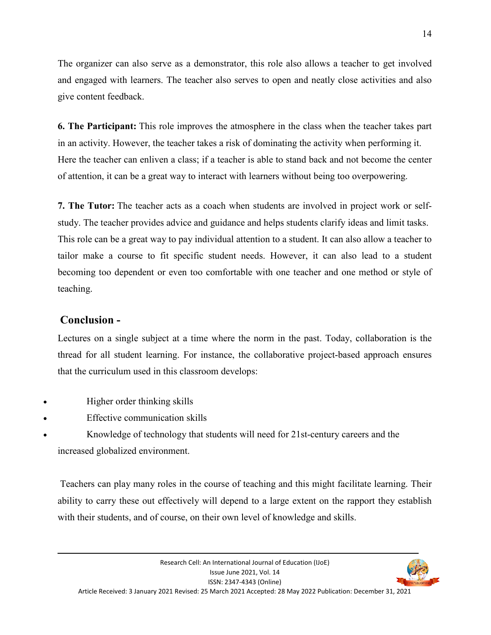The organizer can also serve as a demonstrator, this role also allows a teacher to get involved and engaged with learners. The teacher also serves to open and neatly close activities and also give content feedback.

**6. The Participant:** This role improves the atmosphere in the class when the teacher takes part in an activity. However, the teacher takes a risk of dominating the activity when performing it. Here the teacher can enliven a class; if a teacher is able to stand back and not become the center of attention, it can be a great way to interact with learners without being too overpowering.

**7. The Tutor:** The teacher acts as a coach when students are involved in project work or selfstudy. The teacher provides advice and guidance and helps students clarify ideas and limit tasks. This role can be a great way to pay individual attention to a student. It can also allow a teacher to tailor make a course to fit specific student needs. However, it can also lead to a student becoming too dependent or even too comfortable with one teacher and one method or style of teaching.

### **Conclusion -**

Lectures on a single subject at a time where the norm in the past. Today, collaboration is the thread for all student learning. For instance, the collaborative project-based approach ensures that the curriculum used in this classroom develops:

- Higher order thinking skills
- Effective communication skills
- Knowledge of technology that students will need for 21st-century careers and the increased globalized environment.

 Teachers can play many roles in the course of teaching and this might facilitate learning. Their ability to carry these out effectively will depend to a large extent on the rapport they establish with their students, and of course, on their own level of knowledge and skills.